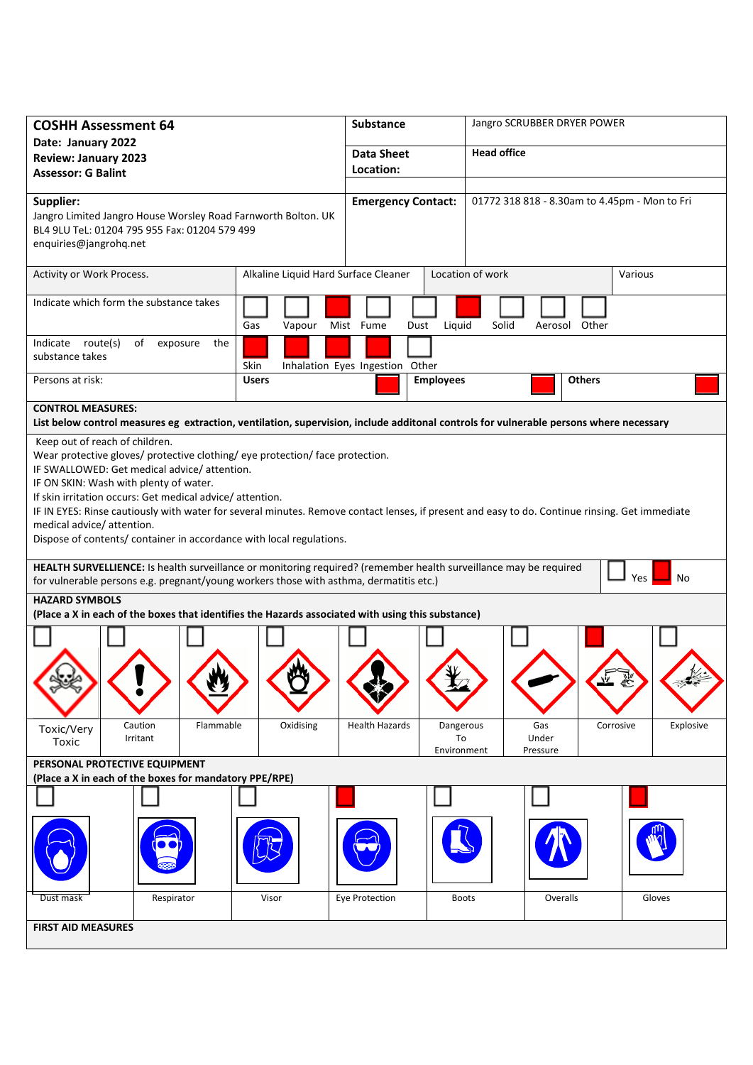| <b>COSHH Assessment 64</b>                                                                                                                                                                                                                                                                                                                                                                                                                                                                                                                                                                                                                                                                                                                                                                                                                                                             |                                      | Substance<br>Jangro SCRUBBER DRYER POWER |                                        |                                               |           |  |
|----------------------------------------------------------------------------------------------------------------------------------------------------------------------------------------------------------------------------------------------------------------------------------------------------------------------------------------------------------------------------------------------------------------------------------------------------------------------------------------------------------------------------------------------------------------------------------------------------------------------------------------------------------------------------------------------------------------------------------------------------------------------------------------------------------------------------------------------------------------------------------------|--------------------------------------|------------------------------------------|----------------------------------------|-----------------------------------------------|-----------|--|
| Date: January 2022<br><b>Review: January 2023</b><br><b>Assessor: G Balint</b>                                                                                                                                                                                                                                                                                                                                                                                                                                                                                                                                                                                                                                                                                                                                                                                                         |                                      | <b>Data Sheet</b><br>Location:           | <b>Head office</b>                     |                                               |           |  |
| Supplier:<br>Jangro Limited Jangro House Worsley Road Farnworth Bolton. UK<br>BL4 9LU TeL: 01204 795 955 Fax: 01204 579 499<br>enquiries@jangrohq.net                                                                                                                                                                                                                                                                                                                                                                                                                                                                                                                                                                                                                                                                                                                                  |                                      | <b>Emergency Contact:</b>                |                                        | 01772 318 818 - 8.30am to 4.45pm - Mon to Fri |           |  |
| Activity or Work Process.                                                                                                                                                                                                                                                                                                                                                                                                                                                                                                                                                                                                                                                                                                                                                                                                                                                              | Alkaline Liquid Hard Surface Cleaner |                                          | Location of work                       | Various                                       |           |  |
| Indicate which form the substance takes                                                                                                                                                                                                                                                                                                                                                                                                                                                                                                                                                                                                                                                                                                                                                                                                                                                | Gas<br>Vapour                        | Mist Fume<br>Dust                        | Liquid<br>Solid                        | Aerosol Other                                 |           |  |
| Indicate route(s)<br>of<br>exposure<br>the<br>substance takes<br>Skin<br>Inhalation Eyes Ingestion Other                                                                                                                                                                                                                                                                                                                                                                                                                                                                                                                                                                                                                                                                                                                                                                               |                                      |                                          |                                        |                                               |           |  |
| Persons at risk:                                                                                                                                                                                                                                                                                                                                                                                                                                                                                                                                                                                                                                                                                                                                                                                                                                                                       | <b>Users</b>                         | <b>Employees</b>                         |                                        | <b>Others</b>                                 |           |  |
| <b>CONTROL MEASURES:</b><br>List below control measures eg extraction, ventilation, supervision, include additonal controls for vulnerable persons where necessary                                                                                                                                                                                                                                                                                                                                                                                                                                                                                                                                                                                                                                                                                                                     |                                      |                                          |                                        |                                               |           |  |
| Keep out of reach of children.<br>Wear protective gloves/ protective clothing/ eye protection/ face protection.<br>IF SWALLOWED: Get medical advice/attention.<br>IF ON SKIN: Wash with plenty of water.<br>If skin irritation occurs: Get medical advice/attention.<br>IF IN EYES: Rinse cautiously with water for several minutes. Remove contact lenses, if present and easy to do. Continue rinsing. Get immediate<br>medical advice/ attention.<br>Dispose of contents/ container in accordance with local regulations.<br>HEALTH SURVELLIENCE: Is health surveillance or monitoring required? (remember health surveillance may be required<br>Yes<br>No<br>for vulnerable persons e.g. pregnant/young workers those with asthma, dermatitis etc.)<br><b>HAZARD SYMBOLS</b><br>(Place a X in each of the boxes that identifies the Hazards associated with using this substance) |                                      |                                          |                                        |                                               |           |  |
|                                                                                                                                                                                                                                                                                                                                                                                                                                                                                                                                                                                                                                                                                                                                                                                                                                                                                        |                                      |                                          |                                        |                                               |           |  |
| Caution<br>Flammable<br>Toxic/Very                                                                                                                                                                                                                                                                                                                                                                                                                                                                                                                                                                                                                                                                                                                                                                                                                                                     | Oxidising                            | <b>Health Hazards</b>                    | Dangerous<br>Gas                       | Corrosive                                     | Explosive |  |
| Irritant<br>Toxic                                                                                                                                                                                                                                                                                                                                                                                                                                                                                                                                                                                                                                                                                                                                                                                                                                                                      |                                      |                                          | Under<br>To<br>Environment<br>Pressure |                                               |           |  |
| PERSONAL PROTECTIVE EQUIPMENT<br>(Place a X in each of the boxes for mandatory PPE/RPE)                                                                                                                                                                                                                                                                                                                                                                                                                                                                                                                                                                                                                                                                                                                                                                                                |                                      |                                          |                                        |                                               |           |  |
|                                                                                                                                                                                                                                                                                                                                                                                                                                                                                                                                                                                                                                                                                                                                                                                                                                                                                        |                                      |                                          |                                        |                                               |           |  |
|                                                                                                                                                                                                                                                                                                                                                                                                                                                                                                                                                                                                                                                                                                                                                                                                                                                                                        |                                      |                                          |                                        |                                               |           |  |
| Respirator<br>Dust mask                                                                                                                                                                                                                                                                                                                                                                                                                                                                                                                                                                                                                                                                                                                                                                                                                                                                | Visor                                | Eye Protection                           | <b>Boots</b>                           | Overalls                                      | Gloves    |  |
| <b>FIRST AID MEASURES</b>                                                                                                                                                                                                                                                                                                                                                                                                                                                                                                                                                                                                                                                                                                                                                                                                                                                              |                                      |                                          |                                        |                                               |           |  |